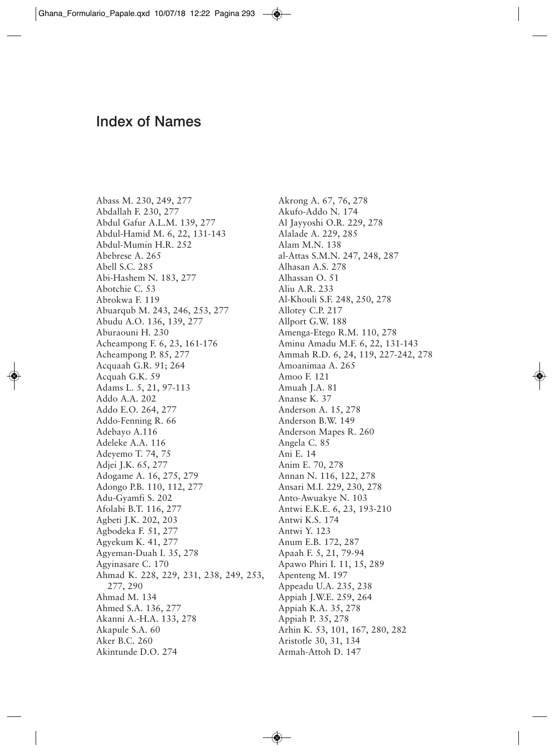## Index of Names

Abass M. 230, 249, 277 Abdallah F. 230, 277 Abdul Gafur A.L.M. 139, 277 Abdul-Hamid M. 6, 22, 131-143 Abdul-Mumin H.R. 252 Abebrese A. 265 Abell S.C. 285 Abi-Hashem N. 183, 277 Abotchie C. 53 Abrokwa F. 119 Abuarqub M. 243, 246, 253, 277 Abudu A.O. 136, 139, 277 Aburaouni H. 230 Acheampong F. 6, 23, 161-176 Acheampong P. 85, 277 Acquaah G.R. 91; 264 Acquah G.K. 59 Adams L. 5, 21, 97-113 Addo A.A. 202 Addo E.O. 264, 277 Addo-Fenning R. 66 Adebayo A.116 Adeleke A.A. 116 Adeyemo T. 74, 75 Adjei J.K. 65, 277 Adogame A. 16, 275, 279 Adongo P.B. 110, 112, 277 Adu-Gyamfi S. 202 Afolabi B.T. 116, 277 Agbeti J.K. 202, 203 Agbodeka F. 51, 277 Agyekum K. 41, 277 Agyeman-Duah I. 35, 278 Agyinasare C. 170 Ahmad K. 228, 229, 231, 238, 249, 253, 277, 290 Ahmad M. 134 Ahmed S.A. 136, 277 Akanni A.-H.A. 133, 278 Akapule S.A. 60 Aker B.C. 260 Akintunde D.O. 274

Akrong A. 67, 76, 278 Akufo-Addo N. 174 Al Jayyoshi O.R. 229, 278 Alalade A. 229, 285 Alam M.N. 138 al-Attas S.M.N. 247, 248, 287 Alhasan A.S. 278 Alhassan O. 51 Aliu A.R. 233 Al-Khouli S.F. 248, 250, 278 Allotey C.P. 217 Allport G.W. 188 Amenga-Etego R.M. 110, 278 Aminu Amadu M.F. 6, 22, 131-143 Ammah R.D. 6, 24, 119, 227-242, 278 Amoanimaa A. 265 Amoo F. 121 Amuah J.A. 81 Ananse K. 37 Anderson A. 15, 278 Anderson B.W. 149 Anderson Mapes R. 260 Angela C. 85 Ani E. 14 Anim E. 70, 278 Annan N. 116, 122, 278 Ansari M.I. 229, 230, 278 Anto-Awuakye N. 103 Antwi E.K.E. 6, 23, 193-210 Antwi K.S. 174 Antwi Y. 123 Anum E.B. 172, 287 Apaah F. 5, 21, 79-94 Apawo Phiri I. 11, 15, 289 Apenteng M. 197 Appeadu U.A. 235, 238 Appiah J.W.E. 259, 264 Appiah K.A. 35, 278 Appiah P. 35, 278 Arhin K. 53, 101, 167, 280, 282 Aristotle 30, 31, 134 Armah-Attoh D. 147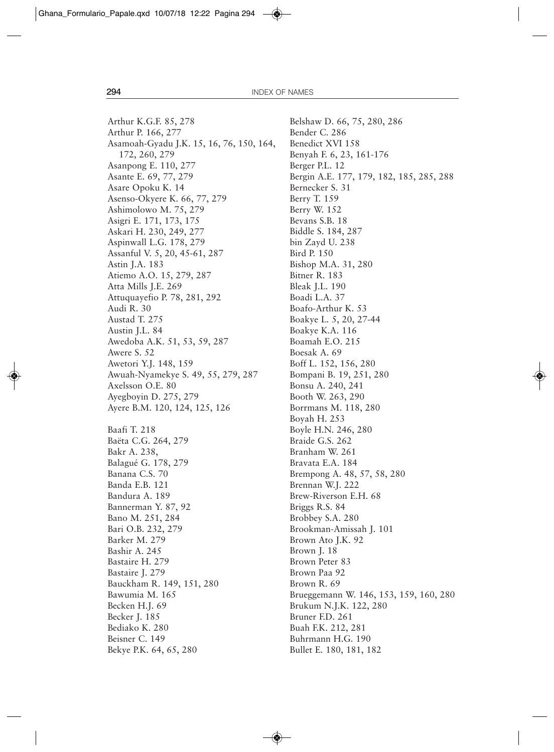Arthur K.G.F. 85, 278 Arthur P. 166, 277 Asamoah-Gyadu J.K. 15, 16, 76, 150, 164, 172, 260, 279 Asanpong E. 110, 277 Asante E. 69, 77, 279 Asare Opoku K. 14 Asenso-Okyere K. 66, 77, 279 Ashimolowo M. 75, 279 Asigri E. 171, 173, 175 Askari H. 230, 249, 277 Aspinwall L.G. 178, 279 Assanful V. 5, 20, 45-61, 287 Astin J.A. 183 Atiemo A.O. 15, 279, 287 Atta Mills J.E. 269 Attuquayefio P. 78, 281, 292 Audi R. 30 Austad T. 275 Austin J.L. 84 Awedoba A.K. 51, 53, 59, 287 Awere S. 52 Awetori Y.J. 148, 159 Awuah-Nyamekye S. 49, 55, 279, 287 Axelsson O.E. 80 Ayegboyin D. 275, 279 Ayere B.M. 120, 124, 125, 126 Baafi T. 218 Baëta C.G. 264, 279 Bakr A. 238, Balagué G. 178, 279 Banana C.S. 70 Banda E.B. 121 Bandura A. 189 Bannerman Y. 87, 92 Bano M. 251, 284 Bari O.B. 232, 279 Barker M. 279 Bashir A. 245 Bastaire H. 279 Bastaire J. 279 Bauckham R. 149, 151, 280 Bawumia M. 165 Becken H.J. 69 Becker J. 185 Bediako K. 280 Beisner C. 149 Bekye P.K. 64, 65, 280

Belshaw D. 66, 75, 280, 286 Bender C. 286 Benedict XVI 158 Benyah F. 6, 23, 161-176 Berger P.L. 12 Bergin A.E. 177, 179, 182, 185, 285, 288 Bernecker S. 31 Berry T. 159 Berry W. 152 Bevans S.B. 18 Biddle S. 184, 287 bin Zayd U. 238 Bird P. 150 Bishop M.A. 31, 280 Bitner R. 183 Bleak J.L. 190 Boadi L.A. 37 Boafo-Arthur K. 53 Boakye L. 5, 20, 27-44 Boakye K.A. 116 Boamah E.O. 215 Boesak A. 69 Boff L. 152, 156, 280 Bompani B. 19, 251, 280 Bonsu A. 240, 241 Booth W. 263, 290 Borrmans M. 118, 280 Boyah H. 253 Boyle H.N. 246, 280 Braide G.S. 262 Branham W. 261 Bravata E.A. 184 Brempong A. 48, 57, 58, 280 Brennan W.J. 222 Brew-Riverson E.H. 68 Briggs R.S. 84 Brobbey S.A. 280 Brookman-Amissah J. 101 Brown Ato J.K. 92 Brown J. 18 Brown Peter 83 Brown Paa 92 Brown R. 69 Brueggemann W. 146, 153, 159, 160, 280 Brukum N.J.K. 122, 280 Bruner F.D. 261 Buah F.K. 212, 281 Buhrmann H.G. 190 Bullet E. 180, 181, 182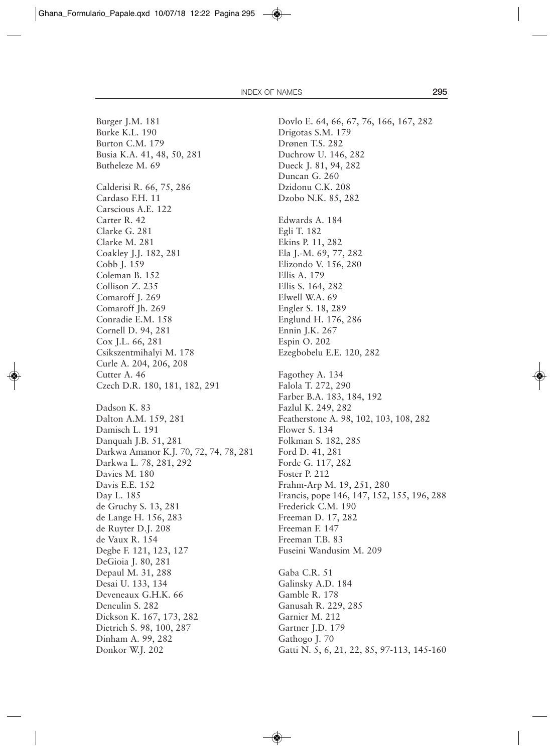Burger J.M. 181 Burke K.L. 190 Burton C.M. 179 Busia K.A. 41, 48, 50, 281 Butheleze M. 69 Calderisi R. 66, 75, 286 Cardaso F.H. 11 Carscious A.E. 122 Carter R. 42 Clarke G. 281 Clarke M. 281 Coakley J.J. 182, 281 Cobb J. 159 Coleman B. 152 Collison Z. 235 Comaroff J. 269 Comaroff Jh. 269 Conradie E.M. 158 Cornell D. 94, 281 Cox J.L. 66, 281 Csikszentmihalyi M. 178 Curle A. 204, 206, 208 Cutter A. 46 Czech D.R. 180, 181, 182, 291 Dadson K. 83 Dalton A.M. 159, 281 Damisch L. 191 Danquah J.B. 51, 281 Darkwa Amanor K.J. 70, 72, 74, 78, 281 Darkwa L. 78, 281, 292 Davies M. 180 Davis E.E. 152 Day L. 185 de Gruchy S. 13, 281 de Lange H. 156, 283 de Ruyter D.J. 208 de Vaux R. 154 Degbe F. 121, 123, 127 DeGioia J. 80, 281 Depaul M. 31, 288 Desai U. 133, 134 Deveneaux G.H.K. 66 Deneulin S. 282 Dickson K. 167, 173, 282 Dietrich S. 98, 100, 287 Dinham A. 99, 282 Donkor W.J. 202

Dovlo E. 64, 66, 67, 76, 166, 167, 282 Drigotas S.M. 179 Drønen T.S. 282 Duchrow U. 146, 282 Dueck J. 81, 94, 282 Duncan G. 260 Dzidonu C.K. 208 Dzobo N.K. 85, 282 Edwards A. 184 Egli T. 182 Ekins P. 11, 282 Ela J.-M. 69, 77, 282 Elizondo V. 156, 280 Ellis A. 179 Ellis S. 164, 282 Elwell W.A. 69 Engler S. 18, 289 Englund H. 176, 286 Ennin J.K. 267 Espin O. 202 Ezegbobelu E.E. 120, 282 Fagothey A. 134 Falola T. 272, 290 Farber B.A. 183, 184, 192 Fazlul K. 249, 282 Featherstone A. 98, 102, 103, 108, 282 Flower S. 134 Folkman S. 182, 285 Ford D. 41, 281 Forde G. 117, 282 Foster P. 212 Frahm-Arp M. 19, 251, 280 Francis, pope 146, 147, 152, 155, 196, 288 Frederick C.M. 190 Freeman D. 17, 282 Freeman F. 147 Freeman T.B. 83 Fuseini Wandusim M. 209 Gaba C.R. 51 Galinsky A.D. 184 Gamble R. 178 Ganusah R. 229, 285 Garnier M. 212 Gartner J.D. 179 Gathogo J. 70 Gatti N. 5, 6, 21, 22, 85, 97-113, 145-160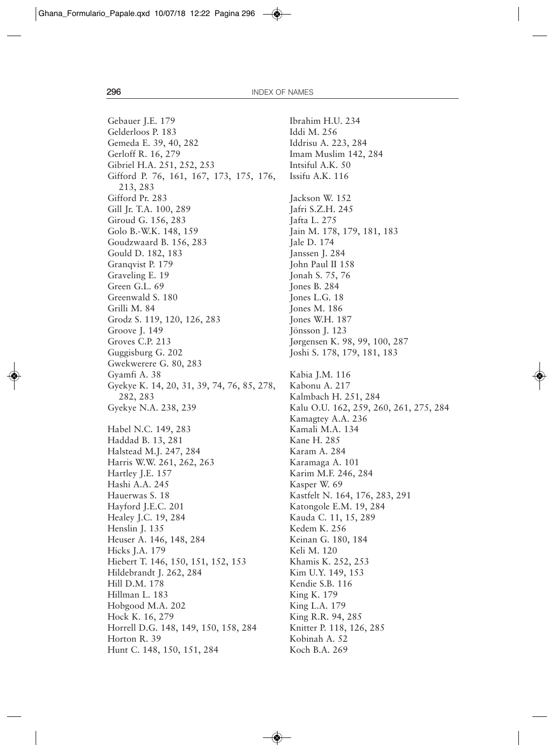Gebauer J.E. 179 Gelderloos P. 183 Gemeda E. 39, 40, 282 Gerloff R. 16, 279 Gibriel H.A. 251, 252, 253 Gifford P. 76, 161, 167, 173, 175, 176, 213, 283 Gifford Pr. 283 Gill Jr. T.A. 100, 289 Giroud G. 156, 283 Golo B.-W.K. 148, 159 Goudzwaard B. 156, 283 Gould D. 182, 183 Granqvist P. 179 Graveling E. 19 Green G.L. 69 Greenwald S. 180 Grilli M. 84 Grodz S. 119, 120, 126, 283 Groove J. 149 Groves C.P. 213 Guggisburg G. 202 Gwekwerere G. 80, 283 Gyamfi A. 38 Gyekye K. 14, 20, 31, 39, 74, 76, 85, 278, 282, 283 Gyekye N.A. 238, 239 Habel N.C. 149, 283 Haddad B. 13, 281 Halstead M.J. 247, 284 Harris W.W. 261, 262, 263 Hartley J.E. 157 Hashi A.A. 245 Hauerwas S. 18 Hayford J.E.C. 201 Healey J.C. 19, 284 Henslin J. 135 Heuser A. 146, 148, 284 Hicks J.A. 179 Hiebert T. 146, 150, 151, 152, 153 Hildebrandt J. 262, 284 Hill D.M. 178 Hillman L. 183 Hobgood M.A. 202 Hock K. 16, 279 Horrell D.G. 148, 149, 150, 158, 284 Horton R. 39 Hunt C. 148, 150, 151, 284

Ibrahim H.U. 234 Iddi M. 256 Iddrisu A. 223, 284 Imam Muslim 142, 284 Intsiful A.K. 50 Issifu A.K. 116 Jackson W. 152 Jafri S.Z.H. 245 Jafta L. 275 Jain M. 178, 179, 181, 183 Jale D. 174 Janssen J. 284 John Paul II 158 Jonah S. 75, 76 Jones B. 284 Jones L.G. 18 Jones M. 186 Jones W.H. 187 Jönsson J. 123 Jørgensen K. 98, 99, 100, 287 Joshi S. 178, 179, 181, 183 Kabia J.M. 116 Kabonu A. 217 Kalmbach H. 251, 284 Kalu O.U. 162, 259, 260, 261, 275, 284 Kamagtey A.A. 236 Kamali M.A. 134 Kane H. 285 Karam A. 284 Karamaga A. 101 Karim M.F. 246, 284 Kasper W. 69 Kastfelt N. 164, 176, 283, 291 Katongole E.M. 19, 284 Kauda C. 11, 15, 289 Kedem K. 256 Keinan G. 180, 184 Keli M. 120 Khamis K. 252, 253 Kim U.Y. 149, 153 Kendie S.B. 116 King K. 179 King L.A. 179 King R.R. 94, 285 Knitter P. 118, 126, 285 Kobinah A. 52 Koch B.A. 269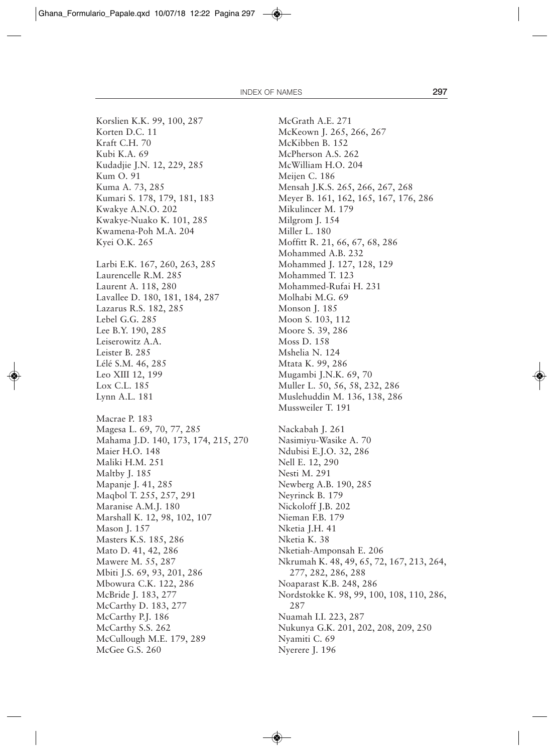Korslien K.K. 99, 100, 287 Korten D.C. 11 Kraft C.H. 70 Kubi K.A. 69 Kudadjie J.N. 12, 229, 285 Kum O. 91 Kuma A. 73, 285 Kumari S. 178, 179, 181, 183 Kwakye A.N.O. 202 Kwakye-Nuako K. 101, 285 Kwamena-Poh M.A. 204 Kyei O.K. 265 Larbi E.K. 167, 260, 263, 285 Laurencelle R.M. 285 Laurent A. 118, 280 Lavallee D. 180, 181, 184, 287 Lazarus R.S. 182, 285 Lebel G.G. 285 Lee B.Y. 190, 285 Leiserowitz A.A. Leister B. 285 Lélé S.M. 46, 285 Leo XIII 12, 199 Lox C.L. 185 Lynn A.L. 181 Macrae P. 183 Magesa L. 69, 70, 77, 285 Mahama J.D. 140, 173, 174, 215, 270 Maier H.O. 148 Maliki H.M. 251 Maltby J. 185 Mapanje J. 41, 285 Maqbol T. 255, 257, 291 Maranise A.M.J. 180 Marshall K. 12, 98, 102, 107 Mason J. 157 Masters K.S. 185, 286 Mato D. 41, 42, 286 Mawere M. 55, 287 Mbiti J.S. 69, 93, 201, 286 Mbowura C.K. 122, 286 McBride J. 183, 277 McCarthy D. 183, 277 McCarthy P.J. 186 McCarthy S.S. 262 McCullough M.E. 179, 289 McGee G.S. 260

McGrath A.E. 271 McKeown J. 265, 266, 267 McKibben B. 152 McPherson A.S. 262 McWilliam H.O. 204 Meijen C. 186 Mensah J.K.S. 265, 266, 267, 268 Meyer B. 161, 162, 165, 167, 176, 286 Mikulincer M. 179 Milgrom J. 154 Miller L. 180 Moffitt R. 21, 66, 67, 68, 286 Mohammed A.B. 232 Mohammed J. 127, 128, 129 Mohammed T. 123 Mohammed-Rufai H. 231 Molhabi M.G. 69 Monson J. 185 Moon S. 103, 112 Moore S. 39, 286 Moss D. 158 Mshelia N. 124 Mtata K. 99, 286 Mugambi J.N.K. 69, 70 Muller L. 50, 56, 58, 232, 286 Muslehuddin M. 136, 138, 286 Mussweiler T. 191 Nackabah J. 261 Nasimiyu-Wasike A. 70 Ndubisi E.J.O. 32, 286 Nell E. 12, 290 Nesti M. 291 Newberg A.B. 190, 285 Neyrinck B. 179 Nickoloff J.B. 202 Nieman F.B. 179 Nketia J.H. 41 Nketia K. 38 Nketiah-Amponsah E. 206 Nkrumah K. 48, 49, 65, 72, 167, 213, 264, 277, 282, 286, 288 Noaparast K.B. 248, 286 Nordstokke K. 98, 99, 100, 108, 110, 286, 287 Nuamah I.I. 223, 287 Nukunya G.K. 201, 202, 208, 209, 250 Nyamiti C. 69 Nyerere J. 196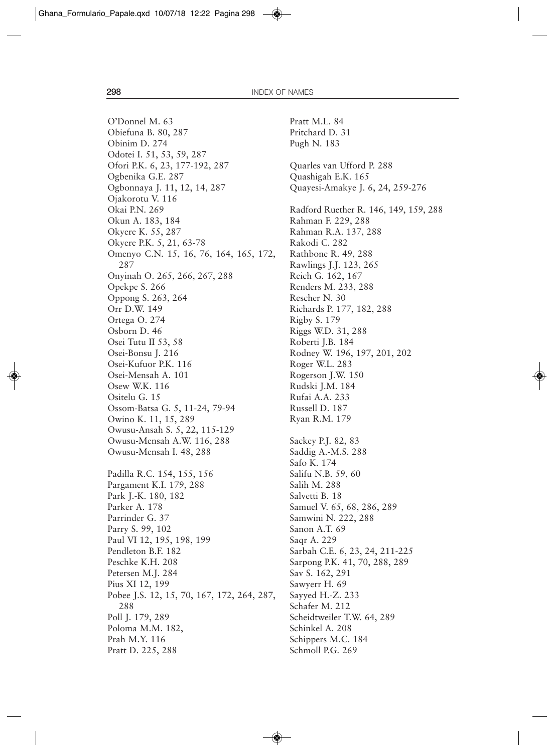O'Donnel M. 63 Obiefuna B. 80, 287 Obinim D. 274 Odotei I. 51, 53, 59, 287 Ofori P.K. 6, 23, 177-192, 287 Ogbenika G.E. 287 Ogbonnaya J. 11, 12, 14, 287 Ojakorotu V. 116 Okai P.N. 269 Okun A. 183, 184 Okyere K. 55, 287 Okyere P.K. 5, 21, 63-78 Omenyo C.N. 15, 16, 76, 164, 165, 172, 287 Onyinah O. 265, 266, 267, 288 Opekpe S. 266 Oppong S. 263, 264 Orr D.W. 149 Ortega O. 274 Osborn D. 46 Osei Tutu II 53, 58 Osei-Bonsu J. 216 Osei-Kufuor P.K. 116 Osei-Mensah A. 101 Osew W.K. 116 Ositelu G. 15 Ossom-Batsa G. 5, 11-24, 79-94 Owino K. 11, 15, 289 Owusu-Ansah S. 5, 22, 115-129 Owusu-Mensah A.W. 116, 288 Owusu-Mensah I. 48, 288 Padilla R.C. 154, 155, 156 Pargament K.I. 179, 288 Park J.-K. 180, 182 Parker A. 178 Parrinder G. 37 Parry S. 99, 102 Paul VI 12, 195, 198, 199 Pendleton B.F. 182 Peschke K.H. 208 Petersen M.J. 284 Pius XI 12, 199 Pobee J.S. 12, 15, 70, 167, 172, 264, 287, 288 Poll J. 179, 289 Poloma M.M. 182, Prah M.Y. 116 Pratt D. 225, 288

Pratt M.L. 84 Pritchard D. 31 Pugh N. 183 Quarles van Ufford P. 288 Quashigah E.K. 165 Quayesi-Amakye J. 6, 24, 259-276 Radford Ruether R. 146, 149, 159, 288 Rahman F. 229, 288 Rahman R.A. 137, 288 Rakodi C. 282 Rathbone R. 49, 288 Rawlings J.J. 123, 265 Reich G. 162, 167 Renders M. 233, 288 Rescher N. 30 Richards P. 177, 182, 288 Rigby S. 179 Riggs W.D. 31, 288 Roberti J.B. 184 Rodney W. 196, 197, 201, 202 Roger W.L. 283 Rogerson J.W. 150 Rudski J.M. 184 Rufai A.A. 233 Russell D. 187 Ryan R.M. 179 Sackey P.J. 82, 83 Saddig A.-M.S. 288 Safo K. 174 Salifu N.B. 59, 60 Salih M. 288 Salvetti B. 18 Samuel V. 65, 68, 286, 289 Samwini N. 222, 288 Sanon A.T. 69 Saqr A. 229 Sarbah C.E. 6, 23, 24, 211-225 Sarpong P.K. 41, 70, 288, 289 Sav S. 162, 291 Sawyerr H. 69 Sayyed H.-Z. 233 Schafer M. 212 Scheidtweiler T.W. 64, 289 Schinkel A. 208 Schippers M.C. 184 Schmoll P.G. 269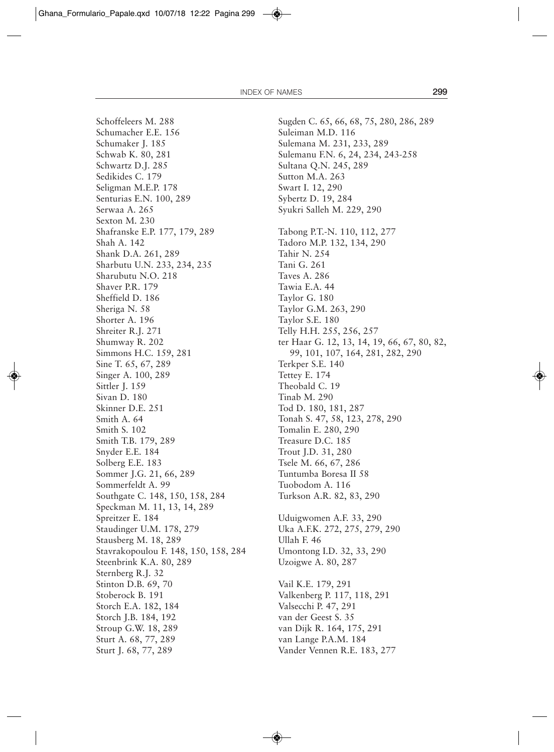Schoffeleers M. 288 Schumacher E.E. 156 Schumaker J. 185 Schwab K. 80, 281 Schwartz D.J. 285 Sedikides C. 179 Seligman M.E.P. 178 Senturias E.N. 100, 289 Serwaa A. 265 Sexton M. 230 Shafranske E.P. 177, 179, 289 Shah A. 142 Shank D.A. 261, 289 Sharbutu U.N. 233, 234, 235 Sharubutu N.O. 218 Shaver P.R. 179 Sheffield D. 186 Sheriga N. 58 Shorter A. 196 Shreiter R.J. 271 Shumway R. 202 Simmons H.C. 159, 281 Sine T. 65, 67, 289 Singer A. 100, 289 Sittler J. 159 Sivan D. 180 Skinner D.E. 251 Smith A. 64 Smith S. 102 Smith T.B. 179, 289 Snyder E.E. 184 Solberg E.E. 183 Sommer J.G. 21, 66, 289 Sommerfeldt A. 99 Southgate C. 148, 150, 158, 284 Speckman M. 11, 13, 14, 289 Spreitzer E. 184 Staudinger U.M. 178, 279 Stausberg M. 18, 289 Stavrakopoulou F. 148, 150, 158, 284 Steenbrink K.A. 80, 289 Sternberg R.J. 32 Stinton D.B. 69, 70 Stoberock B. 191 Storch E.A. 182, 184 Storch J.B. 184, 192 Stroup G.W. 18, 289 Sturt A. 68, 77, 289 Sturt J. 68, 77, 289

Sugden C. 65, 66, 68, 75, 280, 286, 289 Suleiman M.D. 116 Sulemana M. 231, 233, 289 Sulemanu F.N. 6, 24, 234, 243-258 Sultana Q.N. 245, 289 Sutton M.A. 263 Swart I. 12, 290 Sybertz D. 19, 284 Syukri Salleh M. 229, 290 Tabong P.T.-N. 110, 112, 277 Tadoro M.P. 132, 134, 290 Tahir N. 254 Tani G. 261 Taves A. 286 Tawia E.A. 44 Taylor G. 180 Taylor G.M. 263, 290 Taylor S.E. 180 Telly H.H. 255, 256, 257 ter Haar G. 12, 13, 14, 19, 66, 67, 80, 82, 99, 101, 107, 164, 281, 282, 290 Terkper S.E. 140 Tettey E. 174 Theobald C. 19 Tinab M. 290 Tod D. 180, 181, 287 Tonah S. 47, 58, 123, 278, 290 Tomalin E. 280, 290 Treasure D.C. 185 Trout J.D. 31, 280 Tsele M. 66, 67, 286 Tuntumba Boresa II 58 Tuobodom A. 116 Turkson A.R. 82, 83, 290 Uduigwomen A.F. 33, 290 Uka A.F.K. 272, 275, 279, 290 Ullah F. 46 Umontong I.D. 32, 33, 290 Uzoigwe A. 80, 287 Vail K.E. 179, 291 Valkenberg P. 117, 118, 291 Valsecchi P. 47, 291 van der Geest S. 35 van Dijk R. 164, 175, 291 van Lange P.A.M. 184 Vander Vennen R.E. 183, 277